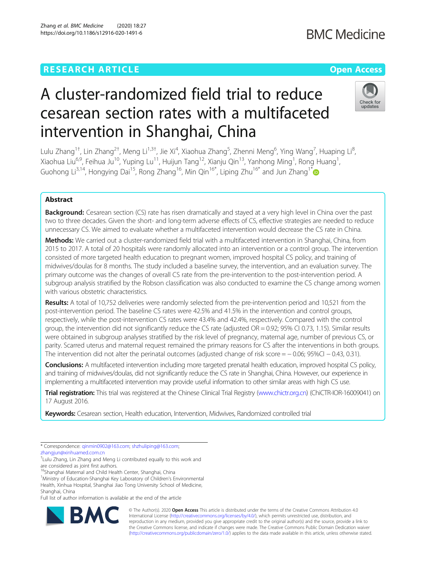# A cluster-randomized field trial to reduce cesarean section rates with a multifaceted intervention in Shanghai, China

Lulu Zhang<sup>1†</sup>, Lin Zhang<sup>2†</sup>, Meng Li<sup>1,3†</sup>, Jie Xi<sup>4</sup>, Xiaohua Zhang<sup>5</sup>, Zhenni Meng<sup>6</sup>, Ying Wang<sup>7</sup>, Huaping Li<sup>8</sup> ;<br>, Xiaohua Liu<sup>6,9</sup>, Feihua Ju<sup>10</sup>, Yuping Lu<sup>11</sup>, Huijun Tang<sup>12</sup>, Xianju Qin<sup>13</sup>, Yanhong Ming<sup>1</sup>, Rong Huang<sup>1</sup> , Guohong Li<sup>3,14</sup>, Hongying Dai<sup>15</sup>, Rong Zhang<sup>16</sup>, Min Qin<sup>16\*</sup>, Liping Zhu<sup>16\*</sup> and Jun Zhang<sup>1\*</sup>

# Abstract

**Background:** Cesarean section (CS) rate has risen dramatically and stayed at a very high level in China over the past two to three decades. Given the short- and long-term adverse effects of CS, effective strategies are needed to reduce unnecessary CS. We aimed to evaluate whether a multifaceted intervention would decrease the CS rate in China.

Methods: We carried out a cluster-randomized field trial with a multifaceted intervention in Shanghai, China, from 2015 to 2017. A total of 20 hospitals were randomly allocated into an intervention or a control group. The intervention consisted of more targeted health education to pregnant women, improved hospital CS policy, and training of midwives/doulas for 8 months. The study included a baseline survey, the intervention, and an evaluation survey. The primary outcome was the changes of overall CS rate from the pre-intervention to the post-intervention period. A subgroup analysis stratified by the Robson classification was also conducted to examine the CS change among women with various obstetric characteristics.

Results: A total of 10,752 deliveries were randomly selected from the pre-intervention period and 10,521 from the post-intervention period. The baseline CS rates were 42.5% and 41.5% in the intervention and control groups, respectively, while the post-intervention CS rates were 43.4% and 42.4%, respectively. Compared with the control group, the intervention did not significantly reduce the CS rate (adjusted OR = 0.92; 95% CI 0.73, 1.15). Similar results were obtained in subgroup analyses stratified by the risk level of pregnancy, maternal age, number of previous CS, or parity. Scarred uterus and maternal request remained the primary reasons for CS after the interventions in both groups. The intervention did not alter the perinatal outcomes (adjusted change of risk score = − 0.06; 95%CI − 0.43, 0.31).

Conclusions: A multifaceted intervention including more targeted prenatal health education, improved hospital CS policy, and training of midwives/doulas, did not significantly reduce the CS rate in Shanghai, China. However, our experience in implementing a multifaceted intervention may provide useful information to other similar areas with high CS use.

Trial registration: This trial was registered at the Chinese Clinical Trial Registry [\(www.chictr.org.cn](http://www.chictr.org.cn)) (ChiCTR-IOR-16009041) on 17 August 2016.

Keywords: Cesarean section, Health education, Intervention, Midwives, Randomized controlled trial

\* Correspondence: [qinmin0902@163.com;](mailto:qinmin0902@163.com) [shzhuliping@163.com;](mailto:shzhuliping@163.com) [zhangjun@xinhuamed.com.cn](mailto:zhangjun@xinhuamed.com.cn)

† Lulu Zhang, Lin Zhang and Meng Li contributed equally to this work and are considered as joint first authors.

<sup>16</sup>Shanghai Maternal and Child Health Center, Shanghai, China

<sup>1</sup>Ministry of Education-Shanghai Key Laboratory of Children's Environmental Health, Xinhua Hospital, Shanghai Jiao Tong University School of Medicine, Shanghai, China

Full list of author information is available at the end of the article



© The Author(s). 2020 **Open Access** This article is distributed under the terms of the Creative Commons Attribution 4.0 International License [\(http://creativecommons.org/licenses/by/4.0/](http://creativecommons.org/licenses/by/4.0/)), which permits unrestricted use, distribution, and reproduction in any medium, provided you give appropriate credit to the original author(s) and the source, provide a link to the Creative Commons license, and indicate if changes were made. The Creative Commons Public Domain Dedication waiver [\(http://creativecommons.org/publicdomain/zero/1.0/](http://creativecommons.org/publicdomain/zero/1.0/)) applies to the data made available in this article, unless otherwise stated.



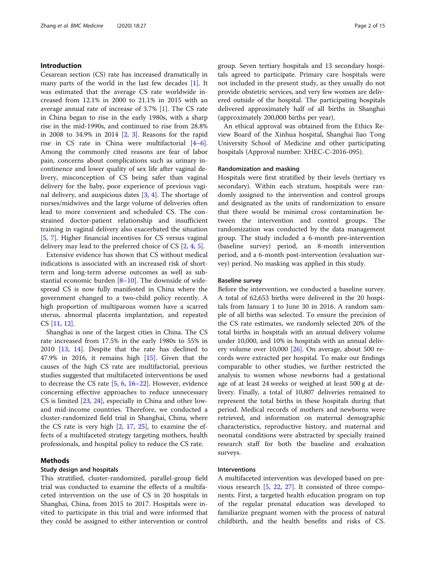# Introduction

Cesarean section (CS) rate has increased dramatically in many parts of the world in the last few decades [[1\]](#page-13-0). It was estimated that the average CS rate worldwide increased from 12.1% in 2000 to 21.1% in 2015 with an average annual rate of increase of 3.7% [\[1](#page-13-0)]. The CS rate in China began to rise in the early 1980s, with a sharp rise in the mid-1990s, and continued to rise from 28.8% in 2008 to 34.9% in 2014 [\[2,](#page-13-0) [3](#page-13-0)]. Reasons for the rapid rise in CS rate in China were multifactorial [\[4](#page-13-0)–[6](#page-13-0)]. Among the commonly cited reasons are fear of labor pain, concerns about complications such as urinary incontinence and lower quality of sex life after vaginal delivery, misconception of CS being safer than vaginal delivery for the baby, poor experience of previous vaginal delivery, and auspicious dates [\[3](#page-13-0), [4](#page-13-0)]. The shortage of nurses/midwives and the large volume of deliveries often lead to more convenient and scheduled CS. The constrained doctor-patient relationship and insufficient training in vaginal delivery also exacerbated the situation [[5,](#page-13-0) [7\]](#page-13-0). Higher financial incentives for CS versus vaginal delivery may lead to the preferred choice of CS [\[2,](#page-13-0) [4,](#page-13-0) [5\]](#page-13-0).

Extensive evidence has shown that CS without medical indications is associated with an increased risk of shortterm and long-term adverse outcomes as well as substantial economic burden  $[8-10]$  $[8-10]$  $[8-10]$ . The downside of widespread CS is now fully manifested in China where the government changed to a two-child policy recently. A high proportion of multiparous women have a scarred uterus, abnormal placenta implantation, and repeated CS [\[11](#page-13-0), [12](#page-13-0)].

Shanghai is one of the largest cities in China. The CS rate increased from 17.5% in the early 1980s to 55% in 2010 [\[13](#page-13-0), [14\]](#page-13-0). Despite that the rate has declined to 47.9% in 2016, it remains high [[15\]](#page-13-0). Given that the causes of the high CS rate are multifactorial, previous studies suggested that multifaceted interventions be used to decrease the CS rate [[5,](#page-13-0) [6](#page-13-0), [16](#page-13-0)–[22\]](#page-13-0). However, evidence concerning effective approaches to reduce unnecessary CS is limited [[23,](#page-13-0) [24\]](#page-13-0), especially in China and other lowand mid-income countries. Therefore, we conducted a cluster-randomized field trial in Shanghai, China, where the CS rate is very high [[2,](#page-13-0) [17,](#page-13-0) [25\]](#page-13-0), to examine the effects of a multifaceted strategy targeting mothers, health professionals, and hospital policy to reduce the CS rate.

# Methods

#### Study design and hospitals

This stratified, cluster-randomized, parallel-group field trial was conducted to examine the effects of a multifaceted intervention on the use of CS in 20 hospitals in Shanghai, China, from 2015 to 2017. Hospitals were invited to participate in this trial and were informed that they could be assigned to either intervention or control group. Seven tertiary hospitals and 13 secondary hospitals agreed to participate. Primary care hospitals were not included in the present study, as they usually do not provide obstetric services, and very few women are delivered outside of the hospital. The participating hospitals delivered approximately half of all births in Shanghai (approximately 200,000 births per year).

An ethical approval was obtained from the Ethics Review Board of the Xinhua hospital, Shanghai Jiao Tong University School of Medicine and other participating hospitals (Approval number: XHEC-C-2016-095).

#### Randomization and masking

Hospitals were first stratified by their levels (tertiary vs secondary). Within each stratum, hospitals were randomly assigned to the intervention and control groups and designated as the units of randomization to ensure that there would be minimal cross contamination between the intervention and control groups. The randomization was conducted by the data management group. The study included a 6-month pre-intervention (baseline survey) period, an 8-month intervention period, and a 6-month post-intervention (evaluation survey) period. No masking was applied in this study.

# Baseline survey

Before the intervention, we conducted a baseline survey. A total of 62,653 births were delivered in the 20 hospitals from January 1 to June 30 in 2016. A random sample of all births was selected. To ensure the precision of the CS rate estimates, we randomly selected 20% of the total births in hospitals with an annual delivery volume under 10,000, and 10% in hospitals with an annual delivery volume over  $10,000$   $[26]$  $[26]$  $[26]$ . On average, about 500 records were extracted per hospital. To make our findings comparable to other studies, we further restricted the analysis to women whose newborns had a gestational age of at least 24 weeks or weighed at least 500 g at delivery. Finally, a total of 10,807 deliveries remained to represent the total births in these hospitals during that period. Medical records of mothers and newborns were retrieved, and information on maternal demographic characteristics, reproductive history, and maternal and neonatal conditions were abstracted by specially trained research staff for both the baseline and evaluation surveys.

### Interventions

A multifaceted intervention was developed based on previous research [\[5](#page-13-0), [22](#page-13-0), [27](#page-13-0)]. It consisted of three components. First, a targeted health education program on top of the regular prenatal education was developed to familiarize pregnant women with the process of natural childbirth, and the health benefits and risks of CS.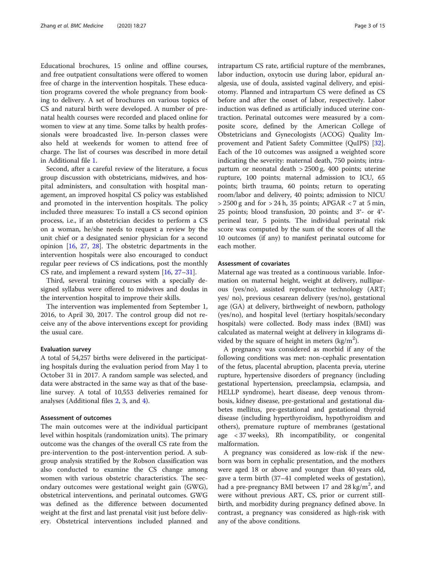Educational brochures, 15 online and offline courses, and free outpatient consultations were offered to women free of charge in the intervention hospitals. These education programs covered the whole pregnancy from booking to delivery. A set of brochures on various topics of CS and natural birth were developed. A number of prenatal health courses were recorded and placed online for women to view at any time. Some talks by health professionals were broadcasted live. In-person classes were also held at weekends for women to attend free of charge. The list of courses was described in more detail in Additional file [1.](#page-12-0)

Second, after a careful review of the literature, a focus group discussion with obstetricians, midwives, and hospital administers, and consultation with hospital management, an improved hospital CS policy was established and promoted in the intervention hospitals. The policy included three measures: To install a CS second opinion process, i.e., if an obstetrician decides to perform a CS on a woman, he/she needs to request a review by the unit chief or a designated senior physician for a second opinion [[16,](#page-13-0) [27](#page-13-0), [28\]](#page-13-0). The obstetric departments in the intervention hospitals were also encouraged to conduct regular peer reviews of CS indications, post the monthly CS rate, and implement a reward system [\[16](#page-13-0), [27](#page-13-0)–[31\]](#page-13-0).

Third, several training courses with a specially designed syllabus were offered to midwives and doulas in the intervention hospital to improve their skills.

The intervention was implemented from September 1, 2016, to April 30, 2017. The control group did not receive any of the above interventions except for providing the usual care.

#### Evaluation survey

A total of 54,257 births were delivered in the participating hospitals during the evaluation period from May 1 to October 31 in 2017. A random sample was selected, and data were abstracted in the same way as that of the baseline survey. A total of 10,553 deliveries remained for analyses (Additional files [2](#page-12-0), [3](#page-12-0), and [4\)](#page-12-0).

#### Assessment of outcomes

The main outcomes were at the individual participant level within hospitals (randomization units). The primary outcome was the changes of the overall CS rate from the pre-intervention to the post-intervention period. A subgroup analysis stratified by the Robson classification was also conducted to examine the CS change among women with various obstetric characteristics. The secondary outcomes were gestational weight gain (GWG), obstetrical interventions, and perinatal outcomes. GWG was defined as the difference between documented weight at the first and last prenatal visit just before delivery. Obstetrical interventions included planned and intrapartum CS rate, artificial rupture of the membranes, labor induction, oxytocin use during labor, epidural analgesia, use of doula, assisted vaginal delivery, and episiotomy. Planned and intrapartum CS were defined as CS before and after the onset of labor, respectively. Labor induction was defined as artificially induced uterine contraction. Perinatal outcomes were measured by a composite score, defined by the American College of Obstetricians and Gynecologists (ACOG) Quality Improvement and Patient Safety Committee (QuIPS) [\[32](#page-13-0)]. Each of the 10 outcomes was assigned a weighted score indicating the severity: maternal death, 750 points; intrapartum or neonatal death > 2500 g, 400 points; uterine rupture, 100 points; maternal admission to ICU, 65 points; birth trauma, 60 points; return to operating room/labor and delivery, 40 points; admission to NICU  $>$  2500 g and for  $>$  24 h, 35 points; APGAR < 7 at 5 min, 25 points; blood transfusion, 20 points; and 3°- or 4° perineal tear, 5 points. The individual perinatal risk score was computed by the sum of the scores of all the 10 outcomes (if any) to manifest perinatal outcome for each mother.

# Assessment of covariates

Maternal age was treated as a continuous variable. Information on maternal height, weight at delivery, nulliparous (yes/no), assisted reproductive technology (ART; yes/ no), previous cesarean delivery (yes/no), gestational age (GA) at delivery, birthweight of newborn, pathology (yes/no), and hospital level (tertiary hospitals/secondary hospitals) were collected. Body mass index (BMI) was calculated as maternal weight at delivery in kilograms divided by the square of height in meters  $(kg/m^2)$ .

A pregnancy was considered as morbid if any of the following conditions was met: non-cephalic presentation of the fetus, placental abruption, placenta previa, uterine rupture, hypertensive disorders of pregnancy (including gestational hypertension, preeclampsia, eclampsia, and HELLP syndrome), heart disease, deep venous thrombosis, kidney disease, pre-gestational and gestational diabetes mellitus, pre-gestational and gestational thyroid disease (including hyperthyroidism, hypothyroidism and others), premature rupture of membranes (gestational age < 37 weeks), Rh incompatibility, or congenital malformation.

A pregnancy was considered as low-risk if the newborn was born in cephalic presentation, and the mothers were aged 18 or above and younger than 40 years old, gave a term birth (37–41 completed weeks of gestation), had a pre-pregnancy BMI between 17 and  $28 \text{ kg/m}^2$ , and were without previous ART, CS, prior or current stillbirth, and morbidity during pregnancy defined above. In contrast, a pregnancy was considered as high-risk with any of the above conditions.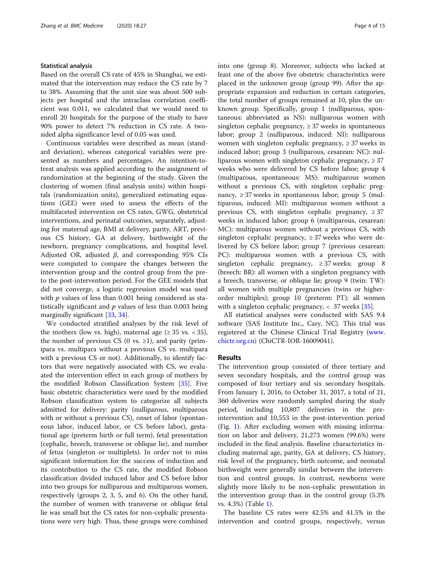#### Statistical analysis

Based on the overall CS rate of 45% in Shanghai, we estimated that the intervention may reduce the CS rate by 7 to 38%. Assuming that the unit size was about 500 subjects per hospital and the intraclass correlation coefficient was 0.011, we calculated that we would need to enroll 20 hospitals for the purpose of the study to have 90% power to detect 7% reduction in CS rate. A twosided alpha significance level of 0.05 was used.

Continuous variables were described as mean (standard deviation), whereas categorical variables were presented as numbers and percentages. An intention-totreat analysis was applied according to the assignment of randomization at the beginning of the study. Given the clustering of women (final analysis units) within hospitals (randomization units), generalized estimating equations (GEE) were used to assess the effects of the multifaceted intervention on CS rates, GWG, obstetrical interventions, and perinatal outcomes, separately, adjusting for maternal age, BMI at delivery, parity, ART, previous CS history, GA at delivery, birthweight of the newborn, pregnancy complications, and hospital level. Adjusted OR, adjusted  $β$ , and corresponding 95% CIs were computed to compare the changes between the intervention group and the control group from the preto the post-intervention period. For the GEE models that did not converge, a logistic regression model was used with  $p$  values of less than 0.001 being considered as statistically significant and  $p$  values of less than 0.003 being marginally significant [\[33](#page-13-0), [34](#page-13-0)].

We conducted stratified analyses by the risk level of the mothers (low vs. high), maternal age  $(\geq 35 \text{ vs. } < 35)$ , the number of previous CS (0 vs.  $\geq$ 1), and parity (primipara vs. multipara without a previous CS vs. multipara with a previous CS or not). Additionally, to identify factors that were negatively associated with CS, we evaluated the intervention effect in each group of mothers by the modified Robson Classification System [[35\]](#page-13-0). Five basic obstetric characteristics were used by the modified Robson classification system to categorize all subjects admitted for delivery: parity (nulliparous, multiparous with or without a previous CS), onset of labor (spontaneous labor, induced labor, or CS before labor), gestational age (preterm birth or full term), fetal presentation (cephalic, breech, transverse or oblique lie), and number of fetus (singleton or multiplets). In order not to miss significant information for the success of induction and its contribution to the CS rate, the modified Robson classification divided induced labor and CS before labor into two groups for nulliparous and multiparous women, respectively (groups 2, 3, 5, and 6). On the other hand, the number of women with transverse or oblique fetal lie was small but the CS rates for non-cephalic presentations were very high. Thus, these groups were combined into one (group 8). Moreover, subjects who lacked at least one of the above five obstetric characteristics were placed in the unknown group (group 99). After the appropriate expansion and reduction in certain categories, the total number of groups remained at 10, plus the unknown group. Specifically, group 1 (nulliparous, spontaneous: abbreviated as NS): nulliparous women with singleton cephalic pregnancy,  $\geq$  37 weeks in spontaneous labor; group 2 (nulliparous, induced: NI): nulliparous women with singleton cephalic pregnancy,  $\geq$  37 weeks in induced labor; group 3 (nulliparous, cesarean: NC): nulliparous women with singleton cephalic pregnancy,  $\geq$  37 weeks who were delivered by CS before labor; group 4 (multiparous, spontaneous: MS): multiparous women without a previous CS, with singleton cephalic pregnancy,  $\geq$  37 weeks in spontaneous labor; group 5 (multiparous, induced: MI): multiparous women without a previous CS, with singleton cephalic pregnancy,  $\geq 37$ weeks in induced labor; group 6 (multiparous, cesarean: MC): multiparous women without a previous CS, with singleton cephalic pregnancy,  $\geq$  37 weeks who were delivered by CS before labor; group 7 (previous cesarean: PC): multiparous women with a previous CS, with singleton cephalic pregnancy,  $\geq$  37 weeks; group 8 (breech: BR): all women with a singleton pregnancy with a breech, transverse, or oblique lie; group 9 (twin: TW): all women with multiple pregnancies (twins or higherorder multiples); group 10 (preterm: PT): all women with a singleton cephalic pregnancy,  $\langle 37 \rangle$  weeks [[35](#page-13-0)].

All statistical analyses were conducted with SAS 9.4 software (SAS Institute Inc., Cary, NC). This trial was registered at the Chinese Clinical Trial Registry ([www.](http://www.chictr.org.cn) [chictr.org.cn\)](http://www.chictr.org.cn) (ChiCTR-IOR-16009041).

# Results

The intervention group consisted of three tertiary and seven secondary hospitals, and the control group was composed of four tertiary and six secondary hospitals. From January 1, 2016, to October 31, 2017, a total of 21, 360 deliveries were randomly sampled during the study period, including 10,807 deliveries in the preintervention and 10,553 in the post-intervention period (Fig. [1\)](#page-4-0). After excluding women with missing information on labor and delivery, 21,273 women (99.6%) were included in the final analysis. Baseline characteristics including maternal age, parity, GA at delivery, CS history, risk level of the pregnancy, birth outcome, and neonatal birthweight were generally similar between the intervention and control groups. In contrast, newborns were slightly more likely to be non-cephalic presentation in the intervention group than in the control group (5.3% vs. 4.3%) (Table [1](#page-5-0)).

The baseline CS rates were 42.5% and 41.5% in the intervention and control groups, respectively, versus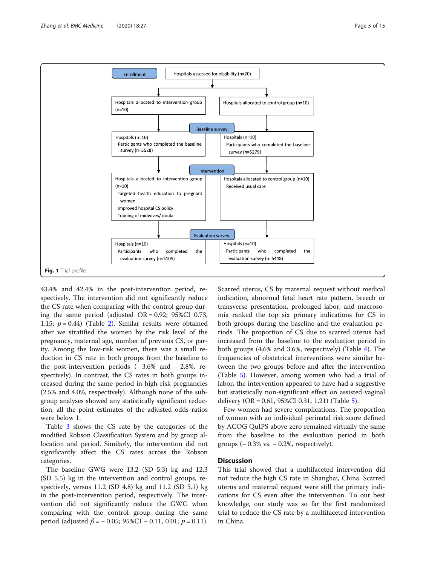<span id="page-4-0"></span>

43.4% and 42.4% in the post-intervention period, respectively. The intervention did not significantly reduce the CS rate when comparing with the control group during the same period (adjusted OR = 0.92; 95%CI 0.73, 1.15;  $p = 0.44$ ) (Table [2\)](#page-6-0). Similar results were obtained after we stratified the women by the risk level of the pregnancy, maternal age, number of previous CS, or parity. Among the low-risk women, there was a small reduction in CS rate in both groups from the baseline to the post-intervention periods (− 3.6% and − 2.8%, respectively). In contrast, the CS rates in both groups increased during the same period in high-risk pregnancies (2.5% and 4.0%, respectively). Although none of the subgroup analyses showed any statistically significant reduction, all the point estimates of the adjusted odds ratios were below 1.

Table [3](#page-8-0) shows the CS rate by the categories of the modified Robson Classification System and by group allocation and period. Similarly, the intervention did not significantly affect the CS rates across the Robson categories.

The baseline GWG were 13.2 (SD 5.3) kg and 12.3 (SD 5.5) kg in the intervention and control groups, respectively, versus 11.2 (SD 4.8) kg and 11.2 (SD 5.1) kg in the post-intervention period, respectively. The intervention did not significantly reduce the GWG when comparing with the control group during the same period (adjusted β = − 0.05; 95%CI − 0.11, 0.01;  $p = 0.11$ ).

Scarred uterus, CS by maternal request without medical indication, abnormal fetal heart rate pattern, breech or transverse presentation, prolonged labor, and macrosomia ranked the top six primary indications for CS in both groups during the baseline and the evaluation periods. The proportion of CS due to scarred uterus had increased from the baseline to the evaluation period in both groups (4.6% and 3.6%, respectively) (Table [4\)](#page-10-0). The frequencies of obstetrical interventions were similar between the two groups before and after the intervention (Table [5](#page-11-0)). However, among women who had a trial of labor, the intervention appeared to have had a suggestive but statistically non-significant effect on assisted vaginal delivery (OR =  $0.61$ , 9[5](#page-11-0)%CI 0.31, 1.21) (Table 5).

Few women had severe complications. The proportion of women with an individual perinatal risk score defined by ACOG QuIPS above zero remained virtually the same from the baseline to the evaluation period in both groups  $(-0.3\% \text{ vs. } -0.2\%$ , respectively).

# **Discussion**

This trial showed that a multifaceted intervention did not reduce the high CS rate in Shanghai, China. Scarred uterus and maternal request were still the primary indications for CS even after the intervention. To our best knowledge, our study was so far the first randomized trial to reduce the CS rate by a multifaceted intervention in China.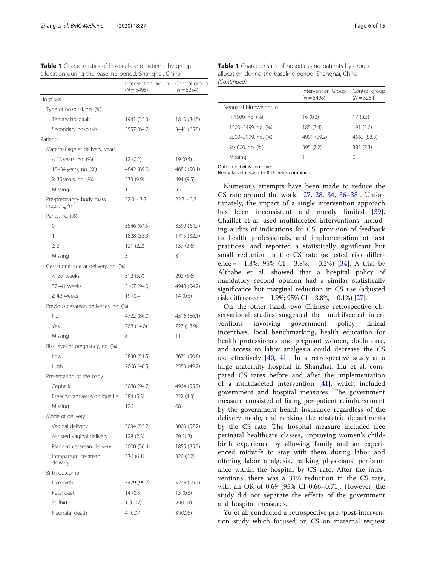<span id="page-5-0"></span>

| Table 1 Characteristics of hospitals and patients by group |
|------------------------------------------------------------|
| allocation during the baseline period, Shanghai, China     |

|                                           | Intervention Group<br>$(N = 5498)$ | Control group<br>$(N = 5254)$ |
|-------------------------------------------|------------------------------------|-------------------------------|
| Hospitals                                 |                                    |                               |
| Type of hospital, no. (%)                 |                                    |                               |
| Tertiary hospitals                        | 1941 (35.3)                        | 1813 (34.5)                   |
| Secondary hospitals                       | 3557 (64.7)                        | 3441 (65.5)                   |
| Patients                                  |                                    |                               |
| Maternal age at delivery, years           |                                    |                               |
| < 18 years, no. (%)                       | 12(0.2)                            | 19(0.4)                       |
| 18-34 years, no. (%)                      | 4842 (89.9)                        | 4686 (90.1)                   |
| $\geq$ 35 years, no. (%)                  | 533 (9.9)                          | 494 (9.5)                     |
| Missing                                   | 111                                | 55                            |
| Pre-pregnancy body mass<br>index, $kg/m2$ | $22.0 \pm 3.2$                     | $22.3 \pm 3.3$                |
| Parity, no. (%)                           |                                    |                               |
| 0                                         | 3546 (64.5)                        | 3399 (64.7)                   |
| 1                                         | 1828 (33.3)                        | 1715 (32.7)                   |
| $\geq$ 2                                  | 121(2.2)                           | 137(2.6)                      |
| Missing                                   | 3                                  | 3                             |
| Gestational age at delivery, no. (%)      |                                    |                               |
| < 37 weeks                                | 312 (5.7)                          | 292 (5.6)                     |
| 37-41 weeks                               | 5167 (94.0)                        | 4948 (94.2)                   |
| $\geq$ 42 weeks                           | 19(0.4)                            | 14(0.3)                       |
| Previous cesarean deliveries, no. (%)     |                                    |                               |
| No                                        | 4722 (86.0)                        | 4516 (86.1)                   |
| Yes                                       | 768 (14.0)                         | 727 (13.9)                    |
| Missing                                   | 8                                  | 11                            |
| Risk level of pregnancy, no. (%)          |                                    |                               |
| Low                                       | 2830 (51.5)                        | 2671 (50.8)                   |
| High                                      | 2668 (48.5)                        | 2583 (49.2)                   |
| Presentation of the baby                  |                                    |                               |
| Cephalic                                  | 5088 (94.7)                        | 4964 (95.7)                   |
| Breech/transverse/oblique lie             | 284 (5.3)                          | 222 (4.3)                     |
| Missing                                   | 126                                | 68                            |
| Mode of delivery                          |                                    |                               |
| Vaginal delivery                          | 3034 (55.2)                        | 3003 (57.2)                   |
| Assisted vaginal delivery                 | 128(2.3)                           | 70 (1.3)                      |
| Planned cesarean delivery                 | 2000 (36.4)                        | 1855 (35.3)                   |
| Intrapartum cesarean<br>delivery          | 336 (6.1)                          | 326 (6.2)                     |
| Birth outcome                             |                                    |                               |
| Live birth                                | 5479 (99.7)                        | 5236 (99.7)                   |
| Fetal death                               | 14(0.3)                            | 13(0.3)                       |
| Stillbirth                                | 1(0.02)                            | 2(0.04)                       |
| Neonatal death                            | 4 (0.07)                           | 3(0.06)                       |
|                                           |                                    |                               |

| Table 1 Characteristics of hospitals and patients by group |
|------------------------------------------------------------|
| allocation during the baseline period, Shanghai, China     |
| (Continued)                                                |

|                         | Intervention Group<br>$(N = 5498)$ | Control group<br>$(N = 5254)$ |
|-------------------------|------------------------------------|-------------------------------|
| Neonatal birthweight, g |                                    |                               |
| $<$ 1500, no. (%)       | 16(0.3)                            | 17(0.3)                       |
| 1500-2499, no. (%)      | 185 (3.4)                          | 191 (3.6)                     |
| 2500-3999, no. (%)      | 4901 (89.2)                        | 4663 (88.8)                   |
| $\geq$ 4000, no. (%)    | 395 (7.2)                          | 383 (7.3)                     |
| Missing                 |                                    | $\left( \right)$              |

Outcome: twins combined

Neonatal admission to ICU: twins combined

Numerous attempts have been made to reduce the CS rate around the world [[27](#page-13-0), [28](#page-13-0), [34,](#page-13-0) [36](#page-14-0)–[38](#page-14-0)]. Unfortunately, the impact of a single intervention approach has been inconsistent and mostly limited [\[39](#page-14-0)]. Chaillet et al. used multifaceted interventions, including audits of indications for CS, provision of feedback to health professionals, and implementation of best practices, and reported a statistically significant but small reduction in the CS rate (adjusted risk difference =  $-1.8\%$ ; 95% CI  $-3.8\%$ ,  $-0.2\%$ ) [[34\]](#page-13-0). A trial by Althabe et al. showed that a hospital policy of mandatory second opinion had a similar statistically significance but marginal reduction in CS use (adjusted risk difference = − 1.9%; 95% CI − 3.8%, − 0.1%) [[27](#page-13-0)].

On the other hand, two Chinese retrospective observational studies suggested that multifaceted interventions involving government policy, finical incentives, local benchmarking, health education for health professionals and pregnant women, doula care, and access to labor analgesia could decrease the CS use effectively [\[40](#page-14-0), [41\]](#page-14-0). In a retrospective study at a large maternity hospital in Shanghai, Liu et al. compared CS rates before and after the implementation of a multifaceted intervention [\[41](#page-14-0)], which included government and hospital measures. The government measure consisted of fixing per-patient reimbursement by the government health insurance regardless of the delivery mode, and ranking the obstetric departments by the CS rate. The hospital measure included free perinatal healthcare classes, improving women's childbirth experience by allowing family and an experienced midwife to stay with them during labor and offering labor analgesia, ranking physicians' performance within the hospital by CS rate. After the interventions, there was a 31% reduction in the CS rate, with an OR of 0.69 [95% CI 0.66–0.71]. However, the study did not separate the effects of the government and hospital measures.

Yu et al. conducted a retrospective pre-/post-intervention study which focused on CS on maternal request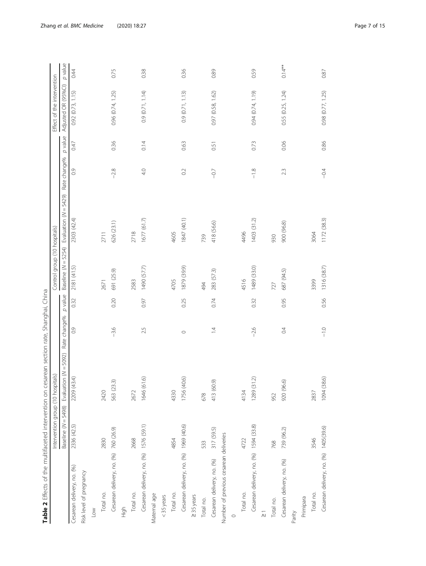| Table 2 Effects of the multifaceted intervention on cesarean section rate, Shanghai, China |                                   |                                                   |                  |         |                              |                                                                        |        |      |                             |          |
|--------------------------------------------------------------------------------------------|-----------------------------------|---------------------------------------------------|------------------|---------|------------------------------|------------------------------------------------------------------------|--------|------|-----------------------------|----------|
|                                                                                            | Intervention group (10 hospitals) |                                                   |                  |         | Control group (10 hospitals) |                                                                        |        |      | Effect of the intervention  |          |
|                                                                                            |                                   | Baseline ( $M = 5498$ ) Evaluation ( $N = 5092$ ) | Rate change%     | p value |                              | Baseline ( $N = 5254$ ) Evaluation ( $N = 5429$ ) Rate change% p value |        |      | Adjusted OR (95%Cl) p value |          |
| Cesarean delivery, no. (%)                                                                 | 2336 (42.5)                       | 2209 (43.4)                                       | $\overline{0}$ . | 0.32    | 2181 (41.5)                  | 2303 (42.4)                                                            | 0.9    | 0.47 | 0.92(0.73, 1.15)            | 0.44     |
| Risk level of pregnancy                                                                    |                                   |                                                   |                  |         |                              |                                                                        |        |      |                             |          |
| $_{\text{Low}}$                                                                            |                                   |                                                   |                  |         |                              |                                                                        |        |      |                             |          |
| Total no.                                                                                  | 2830                              | 2420                                              |                  |         | 2671                         | 2711                                                                   |        |      |                             |          |
| Cesarean delivery, no. (%) 760 (26.9)                                                      |                                   | 563 (23.3)                                        | $-3.6$           | 0.20    | 691 (25.9)                   | 626 (23.1)                                                             | $-2.8$ | 0.36 | $0.96$ $(0.74, 1.25)$       | 0.75     |
| High                                                                                       |                                   |                                                   |                  |         |                              |                                                                        |        |      |                             |          |
| Total no.                                                                                  | 2668                              | 2672                                              |                  |         | 2583                         | 2718                                                                   |        |      |                             |          |
| Cesarean delivery, no. (%) 1576 (59.1)                                                     |                                   | 1646 (61.6)                                       | 2.5              | 0.97    | 1490 (57.7)                  | 1677(61.7)                                                             | 4.0    | 0.14 | 0.9 (0.71, 1.14)            | 0.38     |
| Maternal age                                                                               |                                   |                                                   |                  |         |                              |                                                                        |        |      |                             |          |
| < 35 years                                                                                 |                                   |                                                   |                  |         |                              |                                                                        |        |      |                             |          |
| Total no.                                                                                  | 4854                              | 4330                                              |                  |         | 4705                         | 4605                                                                   |        |      |                             |          |
| Cesarean delivery, no. (%) 1969 (40.6)                                                     |                                   | 1756 (40.6)                                       | $\circ$          | 0.25    | 1879 (39.9)                  | 1847 (40.1)                                                            | 0.2    | 0.63 | 0.9(0.71, 1.13)             | 0.36     |
| $\geq$ 35 years                                                                            |                                   |                                                   |                  |         |                              |                                                                        |        |      |                             |          |
| Total no.                                                                                  | 533                               | 678                                               |                  |         | 494                          | 739                                                                    |        |      |                             |          |
| Cesarean delivery, no. (%)                                                                 | 317 (59.5)                        | 413 (60.9)                                        | $\overline{4}$   | 0.74    | 283 (57.3)                   | 418 (56.6)                                                             | $-0.7$ | 0.51 | 0.97 (0.58, 1.62)           | 0.89     |
| Number of previous cesarean deliveries                                                     |                                   |                                                   |                  |         |                              |                                                                        |        |      |                             |          |
| $\circ$                                                                                    |                                   |                                                   |                  |         |                              |                                                                        |        |      |                             |          |
| Total no.                                                                                  | 4722                              | 4134                                              |                  |         | 4516                         | 4496                                                                   |        |      |                             |          |
| Cesarean delivery, no. (%) 1594 (33.8)                                                     |                                   | নি<br>1289 (31.                                   | $-2.6$           | 0.32    | 1489 (33.0)                  | 1403 (31.2)                                                            | $-1.8$ | 0.73 | 0.94(0.74, 1.19)            | 0.59     |
| $\overline{\overline{}}$                                                                   |                                   |                                                   |                  |         |                              |                                                                        |        |      |                             |          |
| Total no.                                                                                  | 768                               | 952                                               |                  |         | 727                          | 930                                                                    |        |      |                             |          |
| Cesarean delivery, no. (%)                                                                 | 739 (96.2)                        | 920 (96.6)                                        | $\overline{0}$ . | 0.95    | 687 (94.5)                   | 900 (96.8)                                                             | 23     | 0.06 | 0.55 (0.25, 1.24)           | $0.14**$ |
| Parity                                                                                     |                                   |                                                   |                  |         |                              |                                                                        |        |      |                             |          |
| Primipara                                                                                  |                                   |                                                   |                  |         |                              |                                                                        |        |      |                             |          |
| Total no.                                                                                  | 3546                              | 2837                                              |                  |         | 3399                         | 3064                                                                   |        |      |                             |          |
| Cesarean delivery, no. (%) 1405(39.6)                                                      |                                   | 1094 (38.6)                                       | $-1.0$           | 0.56    | 1316 (38.7)                  | 1172 (38.3)                                                            | $-0.4$ | 0.86 | 0.98 (0.77, 1.25)           | 0.87     |

<span id="page-6-0"></span>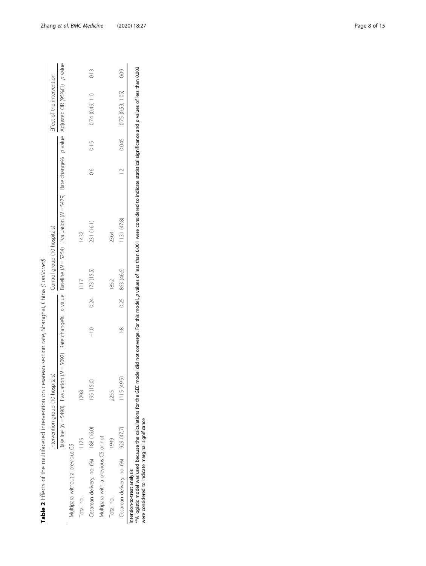| Table 2 Effects of the multifaceted intervention on cesarean section rate, Shanghai, China (Continued)                                                                                                                                                                                                        |                                   |             |        |      |                              |                                                                                                                                                           |     |               |                            |      |
|---------------------------------------------------------------------------------------------------------------------------------------------------------------------------------------------------------------------------------------------------------------------------------------------------------------|-----------------------------------|-------------|--------|------|------------------------------|-----------------------------------------------------------------------------------------------------------------------------------------------------------|-----|---------------|----------------------------|------|
|                                                                                                                                                                                                                                                                                                               | Intervention group (10 hospitals) |             |        |      | Control group (10 hospitals) |                                                                                                                                                           |     |               | Effect of the intervention |      |
|                                                                                                                                                                                                                                                                                                               |                                   |             |        |      |                              | Baseline (N = 5498) Evaluation (N = 5092) Rate change% p value Baseline (N = 5254) Evaluation (N = 5429) Rate change% p value Adjusted OR (95%Cl) p value |     |               |                            |      |
| Multipara without a previous CS                                                                                                                                                                                                                                                                               |                                   |             |        |      |                              |                                                                                                                                                           |     |               |                            |      |
| Total no.                                                                                                                                                                                                                                                                                                     | 175                               | 1298        |        |      | 1117                         | 1432                                                                                                                                                      |     |               |                            |      |
| Cesarean delivery, no. (%) 188 (16.0)                                                                                                                                                                                                                                                                         |                                   | 195 (15.0   | $-1.0$ | 0.24 | 173 (15.5)                   | 231 (16.1)                                                                                                                                                | 0.6 | $\frac{5}{2}$ | 0.74(0.49, 1.1)            | 0.13 |
| Multipara with a previous CS or not                                                                                                                                                                                                                                                                           |                                   |             |        |      |                              |                                                                                                                                                           |     |               |                            |      |
| Total no.                                                                                                                                                                                                                                                                                                     | 1949                              | 2255        |        |      | 1852                         | 2364                                                                                                                                                      |     |               |                            |      |
| Cesarean delivery, no. (%)                                                                                                                                                                                                                                                                                    | 929 (47.7)                        | 1115 (49.5) |        |      | 0.25 863 (46.6)              | 131(47.8)                                                                                                                                                 |     | 0.045         | 0.75(0.53, 1.05)           | 0.09 |
| **A logistic model was used because the calculations for the GEE model did not converge. For this model, p values of less than 0.001 were considered to indicate statistical significance and p values of less than 0.003<br>were considered to indicate marginal significance<br>Intention-to-treat analysis |                                   |             |        |      |                              |                                                                                                                                                           |     |               |                            |      |

\*\*A logistic model was used because the calculations for the GEE model did not converge. For this model, p values of less than 0.001 were considered to indicate statistical significance and p values of less than 0.003  $\alpha$  $\bar{\mathbf{g}}$  $\alpha$ el,  $\rho$ j<br>51 were considered to indicate marginal significance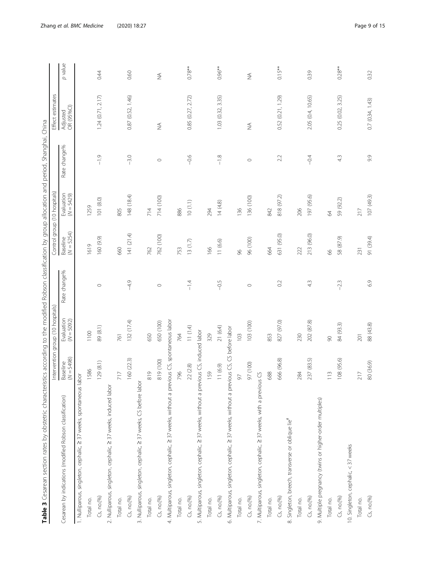| j<br>$\frac{1}{2}$<br>$\overline{\mathbf{r}}$<br>$\overline{ }$<br>į<br>こ りつきつき 22 まげらり 255ミうり                     | リリリン             | てうろう うろそ クチ クスころそうりょう システクラストプライ<br>) ,<br>5<br>-- | ۱<br>ء<br>John<br>$\frac{1}{2}$ | )<br>)<br>ユー・パイ しょうしょう | i, Then in and the and having y<br>;<br>)<br>)<br>5 | i           | من<br>م<br>$\vdots$        |
|--------------------------------------------------------------------------------------------------------------------|------------------|----------------------------------------------------|---------------------------------|------------------------|-----------------------------------------------------|-------------|----------------------------|
|                                                                                                                    | .<br>.<br>.<br>. | ניוטיוקטסון ט<br>$\frac{2}{5}$                     |                                 | mara<br>ontrol o       | וכוסיי בריי<br>$\frac{1}{2}$                        |             | コココココ<br>ing t             |
| ancoitication<br>コリココ<br>١<br>¢<br> <br> <br> <br>i<br><b>CONTRACT</b><br>j<br>₹<br>ś<br>icana<br>J<br>)<br>)<br>) | <b>Baseline</b>  | politeri lev-l<br>$\frac{1}{2}$                    | wandew                          | aseline                | noitiou                                             | ate change% | D<br>D<br>D<br>D<br>הפדם ה |

<span id="page-8-0"></span>

|                                                                                           |                          | Intervention group (10 hospitals) |              |                          | Control group (10 hospitals) |              | Effect estimates       |               |
|-------------------------------------------------------------------------------------------|--------------------------|-----------------------------------|--------------|--------------------------|------------------------------|--------------|------------------------|---------------|
| Cesarean by indications (modified Robson classification)                                  | $(N = 5498)$<br>Baseline | Evaluation<br>$(N = 5092)$        | Rate change% | $(N = 5254)$<br>Baseline | Evaluation<br>$(N = 5429)$   | Rate change% | OR (95%CI)<br>Adjusted | p value       |
| 1. Nulliparous, singleton, cephalic, 2 37 weeks, spontaneous I                            | abor                     |                                   |              |                          |                              |              |                        |               |
| Total no.                                                                                 | 1586                     | 1100                              |              | 1619                     | 1259                         |              |                        |               |
| Cs, no.(%)                                                                                | 129(8.1)                 | 89 (8.1)                          | $\circ$      | 160 (9.9)                | 101(8.0)                     | $-1.9$       | 1.24(0.71, 2.17)       | 0.44          |
| 2. Nulliparous, singleton, cephalic, 2 37 weeks, induced labor                            |                          |                                   |              |                          |                              |              |                        |               |
| Total no.                                                                                 | 717                      | 761                               |              | 660                      | 805                          |              |                        |               |
| Cs, no.(%)                                                                                | 160 (22.3)               | 132 (17.4)                        | $-4.9$       | 141 (21.4)               | 148 (18.4)                   | $-3.0$       | 0.87 (0.52, 1.46)      | 0.60          |
| 3. Nulliparous, singleton, cephalic, 237 weeks, CS before labor                           |                          |                                   |              |                          |                              |              |                        |               |
| Total no.                                                                                 | 819                      | 650                               |              | 762                      | 714                          |              |                        |               |
| Cs, no.(%)                                                                                | 819 (100)                | 650 (100)                         | $\circ$      | 762 (100)                | 714 (100)                    | $\circ$      | $\frac{1}{2}$          | $\frac{1}{2}$ |
| 4. Multiparous, singleton, cephalic, 2 37 weeks, without a previous CS, spontaneous labor |                          |                                   |              |                          |                              |              |                        |               |
| Total no.                                                                                 | 796                      | 764                               |              | 753                      | 886                          |              |                        |               |
| Cs, no.(%)                                                                                | 22(2.8)                  | 11(1.4)                           | $-1.4$       | 13(1.7)                  | 10(1.1)                      | $-0.6$       | 0.85 (0.27, 2.72)      | $0.78**$      |
| 5. Multiparous, singleton, cephalic, 2 37 weeks, without a previous CS, induced labor     |                          |                                   |              |                          |                              |              |                        |               |
| Total no.                                                                                 | 159                      | 329                               |              | 166                      | 294                          |              |                        |               |
| Cs, no.(%)                                                                                | 11(6.9)                  | 21(6.4)                           | $-0.5$       | 11(6.6)                  | 14(4.8)                      | $-1.8$       | 1.03(0.32, 3.35)       | $0.96**$      |
| 6. Multiparous, singleton, cephalic, 2 37 weeks, without a previous CS, CS before labor   |                          |                                   |              |                          |                              |              |                        |               |
| Total no.                                                                                 | 97                       | 103                               |              | 86                       | 136                          |              |                        |               |
| Cs, no.(%)                                                                                | 97 (100)                 | 103 (100)                         | $\circ$      | 96 (100)                 | 136 (100)                    | $\circ$      | ₹                      | $\frac{1}{2}$ |
| 7. Multiparous, singleton, cephalic, 237 weeks, with a previous CS                        |                          |                                   |              |                          |                              |              |                        |               |
| Total no.                                                                                 | 688                      | 853                               |              | 664                      | 842                          |              |                        |               |
| Cs, no.(%)                                                                                | 666 (96.8)               | 827 (97.0)                        | 0.2          | 631 (95.0)               | 818 (97.2)                   | 2.2          | 0.52 (0.21, 1.29)      | $0.15***$     |
| 8. Singleton, breech, transverse or oblique lie <sup>#</sup>                              |                          |                                   |              |                          |                              |              |                        |               |
| Total no.                                                                                 | 284                      | 230                               |              | 222                      | 206                          |              |                        |               |
| Cs, no. (96)                                                                              | 237 (83.5)               | 202 (87.8)                        | 43           | 213 (96.0)               | 197 (95.6)                   | $-0.4$       | 2.05 (0.4, 10.65)      | 0.39          |
| 9. Multiple pregnancy (twins or higher-order multiples)                                   |                          |                                   |              |                          |                              |              |                        |               |
| Total no.                                                                                 | 113                      | $\infty$                          |              | 8                        | $\mathcal{L}$                |              |                        |               |
| Cs, no.(%)                                                                                | 108 (95.6)               | 84 (93.3)                         | $-23$        | 58 (87.9)                | 59 (92.2)                    | 43           | 0.25 (0.02, 3.25)      | $0.28**$      |
| 10. Singleton, cephalic, <37 weeks                                                        |                          |                                   |              |                          |                              |              |                        |               |
| Total no.                                                                                 | 217                      | 201                               |              | 231                      | 217                          |              |                        |               |
| Cs, no.(%)                                                                                | 80 (36.9)                | 88 (43.8)                         | 69           | 91 (39.4)                | 107(49.3)                    | 9.9          | 0.7(0.34, 1.43)        | 0.32          |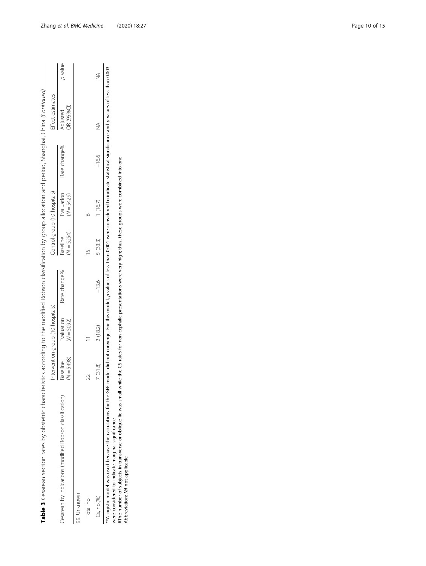| Table 3 Cesarean section rates by obstetric characteri                                                                 |                          |                                   |              |                        |                              |              | istics according to the modified Robson classification by group allocation and period, Shanghai, China (Continued)                                       |               |
|------------------------------------------------------------------------------------------------------------------------|--------------------------|-----------------------------------|--------------|------------------------|------------------------------|--------------|----------------------------------------------------------------------------------------------------------------------------------------------------------|---------------|
|                                                                                                                        |                          | Intervention group (10 hospitals) |              |                        | Control group (10 hospitals) |              | Effect estimates                                                                                                                                         |               |
| Cesarean by indications (modified Robson classification)                                                               | $(N = 5498)$<br>Baseline | Evaluation<br>$(N = 5092)$        | Rate change% | $N = 5254$<br>Baseline | Evaluation<br>$(N = 5429)$   | Rate change% | <b>DR (95%Cl)</b><br>Adjusted                                                                                                                            | p value       |
| 99. Unknown                                                                                                            |                          |                                   |              |                        |                              |              |                                                                                                                                                          |               |
| Total no.                                                                                                              |                          |                                   |              |                        |                              |              |                                                                                                                                                          |               |
| Cs, no.(%)                                                                                                             | 7 (31.8)                 | 2(18.2)                           | $-13.6$      | 5 (33.3)               | 1(16.7)                      | $-166$       | ≶                                                                                                                                                        | $\frac{4}{2}$ |
| ** A logistic model was used because the calculations for the GEE<br>were considered to indicate marginal significance |                          |                                   |              |                        |                              |              | model did not converge. For this model, p values of less than 0.001 were considered to indicate statistical significance and p values of less than 0.003 |               |

ో A logistic model was used because the caculations for the oter model did not converge. For this model, p values or less than uoul were considered to indicate statistical is<br>were considered to indicate marginal signific #The number of subjects in transverse or oblique lie was small while the CS rates for non-cephalic presentations were very high; thus, these groups were combined into one

Abbreviation: NA not applicable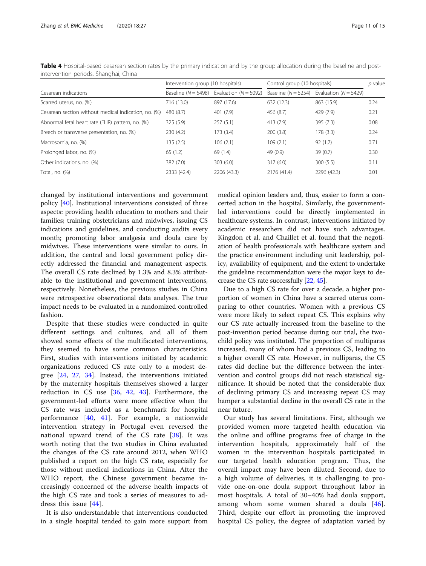|                                                      | Intervention group (10 hospitals) |                         | Control group (10 hospitals) |                         | $p$ value |
|------------------------------------------------------|-----------------------------------|-------------------------|------------------------------|-------------------------|-----------|
| Cesarean indications                                 | Baseline $(N = 5498)$             | Evaluation $(N = 5092)$ | Baseline $(N = 5254)$        | Evaluation $(N = 5429)$ |           |
| Scarred uterus, no. (%)                              | 716 (13.0)                        | 897 (17.6)              | 632 (12.3)                   | 863 (15.9)              | 0.24      |
| Cesarean section without medical indication, no. (%) | 480 (8.7)                         | 401 (7.9)               | 456 (8.7)                    | 429 (7.9)               | 0.21      |
| Abnormal fetal heart rate (FHR) pattern, no. (%)     | 325(5.9)                          | 257(5.1)                | 413 (7.9)                    | 395 (7.3)               | 0.08      |
| Breech or transverse presentation, no. (%)           | 230(4.2)                          | 173(3.4)                | 200(3.8)                     | 178(3.3)                | 0.24      |
| Macrosomia, no. (%)                                  | 135 (2.5)                         | 106(2.1)                | 109(2.1)                     | 92(1.7)                 | 0.71      |
| Prolonged labor, no. (%)                             | 65(1.2)                           | 69 (1.4)                | 49(0.9)                      | 39(0.7)                 | 0.30      |
| Other indications, no. (%)                           | 382 (7.0)                         | 303(6.0)                | 317(6.0)                     | 300(5.5)                | 0.11      |
| Total, no. (%)                                       | 2333 (42.4)                       | 2206 (43.3)             | 2176 (41.4)                  | 2296 (42.3)             | 0.01      |

<span id="page-10-0"></span>Table 4 Hospital-based cesarean section rates by the primary indication and by the group allocation during the baseline and postintervention periods, Shanghai, China

changed by institutional interventions and government policy [[40](#page-14-0)]. Institutional interventions consisted of three aspects: providing health education to mothers and their families; training obstetricians and midwives, issuing CS indications and guidelines, and conducting audits every month; promoting labor analgesia and doula care by midwives. These interventions were similar to ours. In addition, the central and local government policy directly addressed the financial and management aspects. The overall CS rate declined by 1.3% and 8.3% attributable to the institutional and government interventions, respectively. Nonetheless, the previous studies in China were retrospective observational data analyses. The true impact needs to be evaluated in a randomized controlled fashion.

Despite that these studies were conducted in quite different settings and cultures, and all of them showed some effects of the multifaceted interventions, they seemed to have some common characteristics. First, studies with interventions initiated by academic organizations reduced CS rate only to a modest degree [[24,](#page-13-0) [27,](#page-13-0) [34](#page-13-0)]. Instead, the interventions initiated by the maternity hospitals themselves showed a larger reduction in CS use  $[36, 42, 43]$  $[36, 42, 43]$  $[36, 42, 43]$  $[36, 42, 43]$  $[36, 42, 43]$  $[36, 42, 43]$ . Furthermore, the government-led efforts were more effective when the CS rate was included as a benchmark for hospital performance [[40,](#page-14-0) [41](#page-14-0)]. For example, a nationwide intervention strategy in Portugal even reversed the national upward trend of the CS rate [[38\]](#page-14-0). It was worth noting that the two studies in China evaluated the changes of the CS rate around 2012, when WHO published a report on the high CS rate, especially for those without medical indications in China. After the WHO report, the Chinese government became increasingly concerned of the adverse health impacts of the high CS rate and took a series of measures to address this issue [[44\]](#page-14-0).

It is also understandable that interventions conducted in a single hospital tended to gain more support from medical opinion leaders and, thus, easier to form a concerted action in the hospital. Similarly, the governmentled interventions could be directly implemented in healthcare systems. In contrast, interventions initiated by academic researchers did not have such advantages. Kingdon et al. and Chaillet et al. found that the negotiation of health professionals with healthcare system and the practice environment including unit leadership, policy, availability of equipment, and the extent to undertake the guideline recommendation were the major keys to decrease the CS rate successfully [[22](#page-13-0), [45](#page-14-0)].

Due to a high CS rate for over a decade, a higher proportion of women in China have a scarred uterus comparing to other countries. Women with a previous CS were more likely to select repeat CS. This explains why our CS rate actually increased from the baseline to the post-invention period because during our trial, the twochild policy was instituted. The proportion of multiparas increased, many of whom had a previous CS, leading to a higher overall CS rate. However, in nulliparas, the CS rates did decline but the difference between the intervention and control groups did not reach statistical significance. It should be noted that the considerable flux of declining primary CS and increasing repeat CS may hamper a substantial decline in the overall CS rate in the near future.

Our study has several limitations. First, although we provided women more targeted health education via the online and offline programs free of charge in the intervention hospitals, approximately half of the women in the intervention hospitals participated in our targeted health education program. Thus, the overall impact may have been diluted. Second, due to a high volume of deliveries, it is challenging to provide one-on-one doula support throughout labor in most hospitals. A total of 30–40% had doula support, among whom some women shared a doula [\[46](#page-14-0)]. Third, despite our effort in promoting the improved hospital CS policy, the degree of adaptation varied by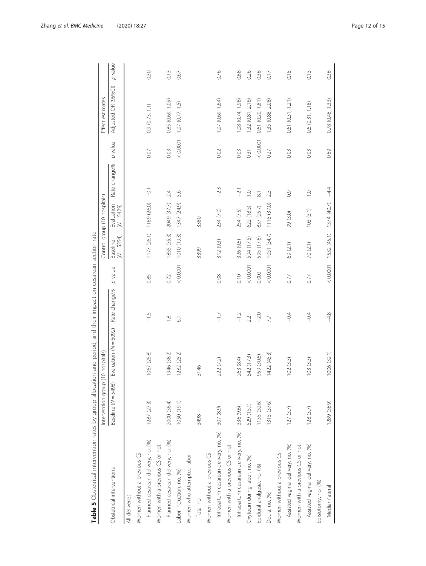| Table 5 Obstetrical intervention rates by group allocation and period, and their impact on cesarean section rate |                                   |                         |                |          |                                    |                              |                    |         |                     |         |
|------------------------------------------------------------------------------------------------------------------|-----------------------------------|-------------------------|----------------|----------|------------------------------------|------------------------------|--------------------|---------|---------------------|---------|
|                                                                                                                  | Intervention group (10 hospitals) |                         |                |          |                                    | Control group (10 hospitals) |                    |         | Effect estimates    |         |
| Obstetrical interventions                                                                                        | Baseline (N = 5498)               | Evaluation $(N = 5092)$ | Rate change%   | p value  | $(W = 5254)$<br>Baseline           | Evaluation<br>$(N = 5429)$   | Rate change%       | p value | Adjusted OR (95%Cl) | p value |
| All deliveries                                                                                                   |                                   |                         |                |          |                                    |                              |                    |         |                     |         |
| Women without a previous CS                                                                                      |                                   |                         |                |          |                                    |                              |                    |         |                     |         |
| Planned cesarean delivery, no. (%)                                                                               | 1287 (27.3)                       | 1067 (25.8)             | $-1.5$         | 0.85     | 1177 (26.1) 1169 (26.0)            |                              | $-0.1$             | 0.07    | 0.9(0.73, 1.1)      | 0.30    |
| Women with a previous CS or not                                                                                  |                                   |                         |                |          |                                    |                              |                    |         |                     |         |
| Planned cesarean delivery, no. (%)                                                                               | 2000 (36.4)                       | 946 (38.2)              | $\frac{8}{1}$  | 0.72     | 1855 (35.3)                        | 2049 (37.7)                  | 24                 | 0.03    | 0.85 (0.69, 1.05)   | 0.13    |
| Labor induction, no. (%)                                                                                         | 1050 (19.1)                       | 1282 (25.2)             | $\overline{6}$ | < 0.0001 | 1010 (19.3)                        | 1347 (24.9)                  | 5.6                | 0.0001  | 1.07(0.77, 1.5)     | 0.67    |
| Women who attempted labor                                                                                        |                                   |                         |                |          |                                    |                              |                    |         |                     |         |
| Total no.                                                                                                        | 3498                              | 3146                    |                |          | 3399                               | 3380                         |                    |         |                     |         |
| Women without a previous CS                                                                                      |                                   |                         |                |          |                                    |                              |                    |         |                     |         |
| Intrapartum cesarean delivery, no. (%) 307 (8.9)                                                                 |                                   | 222 (7.2)               | $-1.7$         | 0.08     | 312 (9.3)                          | 234 (7.0)                    | $-23$              | 0.02    | 1.07 (0.69, 1.64)   | 0.76    |
| Women with a previous CS or not                                                                                  |                                   |                         |                |          |                                    |                              |                    |         |                     |         |
| Intrapartum cesarean delivery, no. (%) 336 (9.6)                                                                 |                                   | 263 (8.4)               | $-1.2$         | 0.10     | 326 (9.6)                          | 254 (7.5)                    | $-21$              | 0.03    | 1.08 (0.74, 1.98)   | 0.68    |
| Oxytocin during labor, no. (%)                                                                                   | 529 (15.1)                        | 542 (17.3)              | 2.2            | < 0.0001 | 594 (17.5)                         | 622 (18.5)                   | $\supseteq$        | 0.31    | 1.32 (0.81, 2.16)   | 0.26    |
| Epidural analgesia, no. (%)                                                                                      | 1135 (32.6)                       | 959 (30.6)              | $-2.0$         | 0.002    | 595 (17.6)                         | 837 (25.7)                   | $\overline{\circ}$ | 0.0001  | 0.61 (0.20, 1.81)   | 0.36    |
| Doula, no. (%)                                                                                                   | 1315 (37.6)                       | 1422(453)               | 7.7            | 0.0001   | 1051 (34.7)                        | 1115 (37.0)                  | 2.3                | 0.27    | 1.35 (0.88, 2.08)   | 0.17    |
| Women without a previous CS                                                                                      |                                   |                         |                |          |                                    |                              |                    |         |                     |         |
| Assisted vaginal delivery, no. (%)                                                                               | 127(3.7)                          | 102(3.3)                | $-0.4$         | 0.77     | 69 (2.1)                           | 99 (3.0)                     | 0.9                | 0.03    | 0.61 (0.31, 1.21)   | 0.15    |
| Women with a previous CS or not                                                                                  |                                   |                         |                |          |                                    |                              |                    |         |                     |         |
| Assisted vaginal delivery, no. (%)                                                                               | 128(3.7)                          | 103(3.3)                | $-0.4$         | 0.77     | 70(2.1)                            | 103(3.1)                     | $\overline{1}$ . O | 0.03    | 0.6(0.31, 1.18)     | 0.13    |
| Episiotomy, no. (%)                                                                                              |                                   |                         |                |          |                                    |                              |                    |         |                     |         |
| Median/lateral                                                                                                   | 1289 (36.9)                       | 1006 (32.1)             | $-4.8$         |          | $< 0.0001$ 1532 (45.1) 1374 (40.7) |                              | $-4.4$             | 0.69    | 0.78(0.46, 1.33)    | 0.36    |

<span id="page-11-0"></span>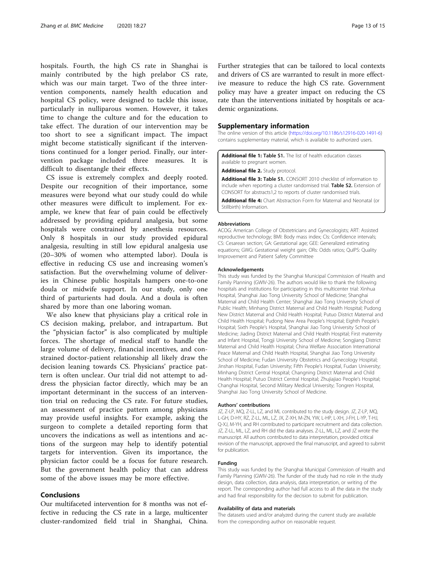<span id="page-12-0"></span>hospitals. Fourth, the high CS rate in Shanghai is mainly contributed by the high prelabor CS rate, which was our main target. Two of the three intervention components, namely health education and hospital CS policy, were designed to tackle this issue, particularly in nulliparous women. However, it takes time to change the culture and for the education to take effect. The duration of our intervention may be too short to see a significant impact. The impact might become statistically significant if the interventions continued for a longer period. Finally, our intervention package included three measures. It is difficult to disentangle their effects.

CS issue is extremely complex and deeply rooted. Despite our recognition of their importance, some measures were beyond what our study could do while other measures were difficult to implement. For example, we knew that fear of pain could be effectively addressed by providing epidural analgesia, but some hospitals were constrained by anesthesia resources. Only 8 hospitals in our study provided epidural analgesia, resulting in still low epidural analgesia use (20–30% of women who attempted labor). Doula is effective in reducing CS use and increasing women's satisfaction. But the overwhelming volume of deliveries in Chinese public hospitals hampers one-to-one doula or midwife support. In our study, only one third of parturients had doula. And a doula is often shared by more than one laboring woman.

We also knew that physicians play a critical role in CS decision making, prelabor, and intrapartum. But the "physician factor" is also complicated by multiple forces. The shortage of medical staff to handle the large volume of delivery, financial incentives, and constrained doctor-patient relationship all likely draw the decision leaning towards CS. Physicians' practice pattern is often unclear. Our trial did not attempt to address the physician factor directly, which may be an important determinant in the success of an intervention trial on reducing the CS rate. For future studies, an assessment of practice pattern among physicians may provide useful insights. For example, asking the surgeon to complete a detailed reporting form that uncovers the indications as well as intentions and actions of the surgeon may help to identify potential targets for intervention. Given its importance, the physician factor could be a focus for future research. But the government health policy that can address some of the above issues may be more effective.

# Conclusions

Our multifaceted intervention for 8 months was not effective in reducing the CS rate in a large, multicenter cluster-randomized field trial in Shanghai, China. Further strategies that can be tailored to local contexts and drivers of CS are warranted to result in more effective measure to reduce the high CS rate. Government policy may have a greater impact on reducing the CS rate than the interventions initiated by hospitals or academic organizations.

#### Supplementary information

The online version of this article ([https://doi.org/10.1186/s12916-020-1491-6\)](https://doi.org/10.1186/s12916-020-1491-6) contains supplementary material, which is available to authorized users.

Additional file 1: Table S1. The list of health education classes available to pregnant women.

Additional file 2. Study protocol.

Additional file 3: Table S1. CONSORT 2010 checklist of information to include when reporting a cluster randomised trial. Table S2. Extension of CONSORT for abstracts1,2 to reports of cluster randomised trials.

Additional file 4: Chart Abstraction Form for Maternal and Neonatal (or Stillbirth) Information.

#### Abbreviations

ACOG: American College of Obstetricians and Gynecologists; ART: Assisted reproductive technology; BMI: Body mass index; CIs: Confidence intervals; CS: Cesarean section; GA: Gestational age; GEE: Generalized estimating equations; GWG: Gestational weight gain; ORs: Odds ratios; QuIPS: Quality Improvement and Patient Safety Committee

#### Acknowledgements

This study was funded by the Shanghai Municipal Commission of Health and Family Planning (GWIV-26). The authors would like to thank the following hospitals and institutions for participating in this multicenter trial: Xinhua Hospital, Shanghai Jiao Tong University School of Medicine; Shanghai Maternal and Child Health Center; Shanghai Jiao Tong University School of Public Health; Minhang District Maternal and Child Health Hospital; Pudong New District Maternal and Child Health Hospital; Putuo District Maternal and Child Health Hospital; Pudong New Area People's Hospital; Eighth People's Hospital; Sixth People's Hospital, Shanghai Jiao Tong University School of Medicine; Jiading District Maternal and Child Health Hospital; First maternity and Infant Hospital, Tongji University School of Medicine; Songjiang District Maternal and Child Health Hospital; China Welfare Association International Peace Maternal and Child Health Hospital, Shanghai Jiao Tong University School of Medicine; Fudan University Obstetrics and Gynecology Hospital; Jinshan Hospital, Fudan University; Fifth People's Hospital, Fudan University; Minhang District Central Hospital; Changning District Maternal and Child Health Hospital; Putuo District Central Hospital; Zhujiajiao People's Hospital; Changhai Hospital, Second Military Medical University; Tongren Hospital, Shanghai Jiao Tong University School of Medicine.

#### Authors' contributions

JZ, Z-LP, MQ, Z-LL, LZ, and ML contributed to the study design. JZ, Z-LP, MQ, L-GH, D-HY, RZ, Z-LL, ML, LZ, JX, Z-XH, M-ZN, YW, L-HP, L-XH, J-FH, L-YP, T-HJ, Q-XJ, M-YH, and RH contributed to participant recruitment and data collection. JZ, Z-LL, ML, LZ, and RH did the data analyses. Z-LL, ML, LZ, and JZ wrote the manuscript. All authors contributed to data interpretation, provided critical revision of the manuscript, approved the final manuscript, and agreed to submit for publication.

# Funding

This study was funded by the Shanghai Municipal Commission of Health and Family Planning (GWIV-26). The funder of the study had no role in the study design, data collection, data analysis, data interpretation, or writing of the report. The corresponding author had full access to all the data in the study and had final responsibility for the decision to submit for publication.

#### Availability of data and materials

The datasets used and/or analyzed during the current study are available from the corresponding author on reasonable request.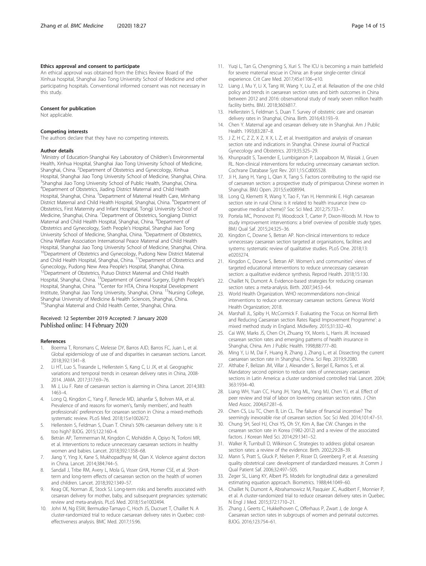### <span id="page-13-0"></span>Ethics approval and consent to participate

An ethical approval was obtained from the Ethics Review Board of the Xinhua hospital, Shanghai Jiao Tong University School of Medicine and other participating hospitals. Conventional informed consent was not necessary in this study.

#### Consent for publication

Not applicable.

#### Competing interests

The authors declare that they have no competing interests.

#### Author details

<sup>1</sup>Ministry of Education-Shanghai Key Laboratory of Children's Environmental Health, Xinhua Hospital, Shanghai Jiao Tong University School of Medicine, Shanghai, China. <sup>2</sup>Department of Obstetrics and Gynecology, Xinhua Hospital, Shanghai Jiao Tong University School of Medicine, Shanghai, China. <sup>3</sup>Shanghai Jiao Tong University School of Public Health, Shanghai, China. 4 Department of Obstetrics, Jiading District Maternal and Child Health Hospital, Shanghai, China. <sup>5</sup>Department of Maternal Health Care, Minhang District Maternal and Child Health Hospital, Shanghai, China. <sup>6</sup>Department of Obstetrics, First Maternity and Infant Hospital, Tongji University School of Medicine, Shanghai, China. <sup>7</sup>Department of Obstetrics, Songjiang District Maternal and Child Health Hospital, Shanghai, China. <sup>8</sup>Department of Obstetrics and Gynecology, Sixth People's Hospital, Shanghai Jiao Tong University School of Medicine, Shanghai, China. <sup>9</sup>Department of Obstetrics, China Welfare Association International Peace Maternal and Child Health Hospital, Shanghai Jiao Tong University School of Medicine, Shanghai, China. <sup>10</sup>Department of Obstetrics and Gynecology, Pudong New District Maternal

and Child Health Hospital, Shanghai, China. <sup>11</sup>Department of Obstetrics and Gynecology, Pudong New Area People's Hospital, Shanghai, China.<br><sup>12</sup>Department of Obstetrics, Putuo District Maternal and Child Health Hospital, Shanghai, China. <sup>13</sup>Department of General Surgery, Eighth People's Hospital, Shanghai, China. <sup>14</sup>Center for HTA, China Hospital Development Institute, Shanghai Jiao Tong University, Shanghai, China. <sup>15</sup>Nursing College, Shanghai University of Medicine & Health Sciences, Shanghai, China. <sup>16</sup>Shanghai Maternal and Child Health Center, Shanghai, China.

### Received: 12 September 2019 Accepted: 7 January 2020 Published online: 14 February 2020

#### References

- 1. Boerma T, Ronsmans C, Melesse DY, Barros AJD, Barros FC, Juan L, et al. Global epidemiology of use of and disparities in caesarean sections. Lancet. 2018;392:1341–8.
- Li HT, Luo S, Trasande L, Hellerstein S, Kang C, Li JX, et al. Geographic variations and temporal trends in cesarean delivery rates in China, 2008- 2014. JAMA. 2017;317:69–76.
- 3. Mi J, Liu F. Rate of caesarean section is alarming in China. Lancet. 2014;383: 1463–4.
- 4. Long Q, Kingdon C, Yang F, Renecle MD, Jahanfar S, Bohren MA, et al. Prevalence of and reasons for women's, family members', and health professionals' preferences for cesarean section in China: a mixed-methods systematic review. PLoS Med. 2018;15:e1002672.
- 5. Hellerstein S, Feldman S, Duan T. China's 50% caesarean delivery rate: is it too high? BJOG. 2015;122:160–4.
- 6. Betrán AP, Temmerman M, Kingdon C, Mohiddin A, Opiyo N, Torloni MR, et al. Interventions to reduce unnecessary caesarean sections in healthy women and babies. Lancet. 2018;392:1358–68.
- 7. Jiang Y, Ying X, Kane S, Mukhopadhyay M, Qian X. Violence against doctors in China. Lancet. 2014;384:744–5.
- 8. Sandall J, Tribe RM, Avery L, Mola G, Visser GHA, Homer CSE, et al. Shortterm and long-term effects of caesarean section on the health of women and children. Lancet. 2018;392:1349–57.
- 9. Keag OE, Norman JE, Stock SJ. Long-term risks and benefits associated with cesarean delivery for mother, baby, and subsequent pregnancies: systematic review and meta-analysis. PLoS Med. 2018;15:e1002494.
- 10. Johri M, Ng ESW, Bermudez-Tamayo C, Hoch JS, Ducruet T, Chaillet N. A cluster-randomized trial to reduce caesarean delivery rates in Quebec: costeffectiveness analysis. BMC Med. 2017;15:96.
- 11. Yuqi L, Tan G, Chengming S, Xuri S. The ICU is becoming a main battlefield for severe maternal rescue in China: an 8-year single-center clinical experience. Crit Care Med. 2017;45:e1106–e10.
- 12. Liang J, Mu Y, Li X, Tang W, Wang Y, Liu Z, et al. Relaxation of the one child policy and trends in caesarean section rates and birth outcomes in China between 2012 and 2016: observational study of nearly seven million health facility births. BMJ. 2018;360:k817.
- 13. Hellerstein S, Feldman S, Duan T. Survey of obstetric care and cesarean delivery rates in Shanghai, China. Birth. 2016;43:193–9.
- 14. Chen Y. Maternal age and cesarean delivery rate in Shanghai. Am J Public Health. 1993;83:287–8.
- 15. J Z, H C, Z Z, X Z, X X, L Z, et al. Investigation and analysis of cesarean section rate and indications in Shanghai. Chinese Journal of Practical Gynecology and Obstetrics. 2019;35:325–29.
- 16. Khunpradit S, Tavender E, Lumbiganon P, Laopaiboon M, Wasiak J, Gruen RL. Non-clinical interventions for reducing unnecessary caesarean section. Cochrane Database Syst Rev. 2011;15:Cd005528.
- 17. Ji H, Jiang H, Yang L, Qian X, Tang S. Factors contributing to the rapid rise of caesarean section: a prospective study of primiparous Chinese women in Shanghai. BMJ Open. 2015;5:e008994.
- 18. Long Q, Klemetti R, Wang Y, Tao F, Yan H, Hemminki E. High caesarean section rate in rural China: is it related to health insurance (new cooperative medical scheme)? Soc Sci Med. 2012;75:733–7.
- 19. Portela MC, Pronovost PJ, Woodcock T, Carter P, Dixon-Woods M. How to study improvement interventions: a brief overview of possible study types. BMJ Qual Saf. 2015;24:325–36.
- 20. Kingdon C, Downe S, Betran AP. Non-clinical interventions to reduce unnecessary caesarean section targeted at organisations, facilities and systems: systematic review of qualitative studies. PLoS One. 2018;13: e0203274.
- 21. Kingdon C, Downe S, Betran AP. Women's and communities' views of targeted educational interventions to reduce unnecessary caesarean section: a qualitative evidence synthesis. Reprod Health. 2018;15:130.
- 22. Chaillet N, Dumont A. Evidence-based strategies for reducing cesarean section rates: a meta-analysis. Birth. 2007;34:53–64.
- 23. World Health Organization. WHO recommendations non-clinical interventions to reduce unnecessary caesarean sections. Geneva: World Health Organization; 2018.
- 24. Marshall JL, Spiby H, McCormick F. Evaluating the 'Focus on Normal Birth and Reducing Caesarean section Rates Rapid Improvement Programme': a mixed method study in England. Midwifery. 2015;31:332–40.
- 25. Cai WW, Marks JS, Chen CH, Zhuang YX, Morris L, Harris JR. Increased cesarean section rates and emerging patterns of health insurance in Shanghai, China. Am J Public Health. 1998;88:777–80.
- 26. Ming Y, Li M, Dai F, Huang R, Zhang J, Zhang L, et al. Dissecting the current caesarean section rate in Shanghai, China. Sci Rep. 2019;9:2080.
- 27. Althabe F, Belizan JM, Villar J, Alexander S, Bergel E, Ramos S, et al. Mandatory second opinion to reduce rates of unnecessary caesarean sections in Latin America: a cluster randomised controlled trial. Lancet. 2004; 363:1934–40.
- 28. Liang WH, Yuan CC, Hung JH, Yang ML, Yang MJ, Chen YJ, et al. Effect of peer review and trial of labor on lowering cesarean section rates. J Chin Med Assoc. 2004;67:281–6.
- 29. Chen CS, Liu TC, Chen B, Lin CL. The failure of financial incentive? The seemingly inexorable rise of cesarean section. Soc Sci Med. 2014;101:47–51.
- 30. Chung SH, Seol HJ, Choi YS, Oh SY, Kim A, Bae CW. Changes in the cesarean section rate in Korea (1982-2012) and a review of the associated factors. J Korean Med Sci. 2014;29:1341–52.
- 31. Walker R, Turnbull D, Wilkinson C. Strategies to address global cesarean section rates: a review of the evidence. Birth. 2002;29:28–39.
- 32. Mann S, Pratt S, Gluck P, Nielsen P, Risser D, Greenberg P, et al. Assessing quality obstetrical care: development of standardized measures. Jt Comm J Qual Patient Saf. 2006;32:497–505.
- 33. Zeger SL, Liang KY, Albert PS. Models for longitudinal data: a generalized estimating equation approach. Biometrics. 1988;44:1049–60.
- 34. Chaillet N, Dumont A, Abrahamowicz M, Pasquier JC, Audibert F, Monnier P, et al. A cluster-randomized trial to reduce cesarean delivery rates in Quebec. N Engl J Med. 2015;372:1710–21.
- 35. Zhang J, Geerts C, Hukkelhoven C, Offerhaus P, Zwart J, de Jonge A. Caesarean section rates in subgroups of women and perinatal outcomes. BJOG. 2016;123:754–61.